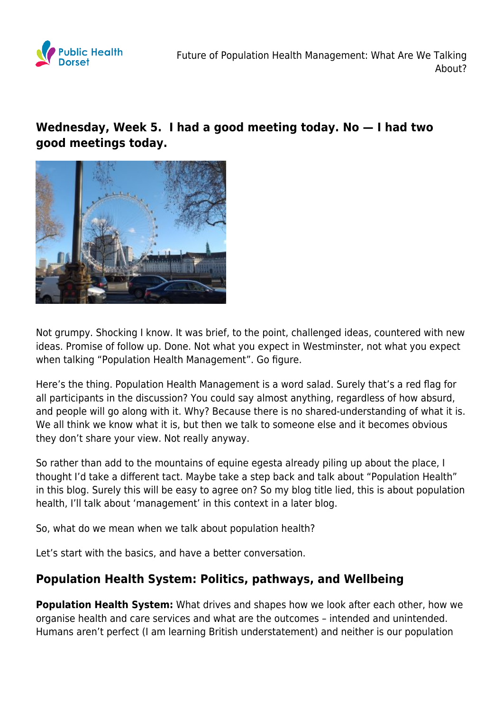

## **Wednesday, Week 5. I had a good meeting today. No — I had two good meetings today.**



Not grumpy. Shocking I know. It was brief, to the point, challenged ideas, countered with new ideas. Promise of follow up. Done. Not what you expect in Westminster, not what you expect when talking "Population Health Management". Go figure.

Here's the thing. Population Health Management is a word salad. Surely that's a red flag for all participants in the discussion? You could say almost anything, regardless of how absurd, and people will go along with it. Why? Because there is no shared-understanding of what it is. We all think we know what it is, but then we talk to someone else and it becomes obvious they don't share your view. Not really anyway.

So rather than add to the mountains of equine egesta already piling up about the place, I thought I'd take a different tact. Maybe take a step back and talk about "Population Health" in this blog. Surely this will be easy to agree on? So my blog title lied, this is about population health, I'll talk about 'management' in this context in a later blog.

So, what do we mean when we talk about population health?

Let's start with the basics, and have a better conversation.

## **Population Health System: Politics, pathways, and Wellbeing**

**Population Health System:** What drives and shapes how we look after each other, how we organise health and care services and what are the outcomes – intended and unintended. Humans aren't perfect (I am learning British understatement) and neither is our population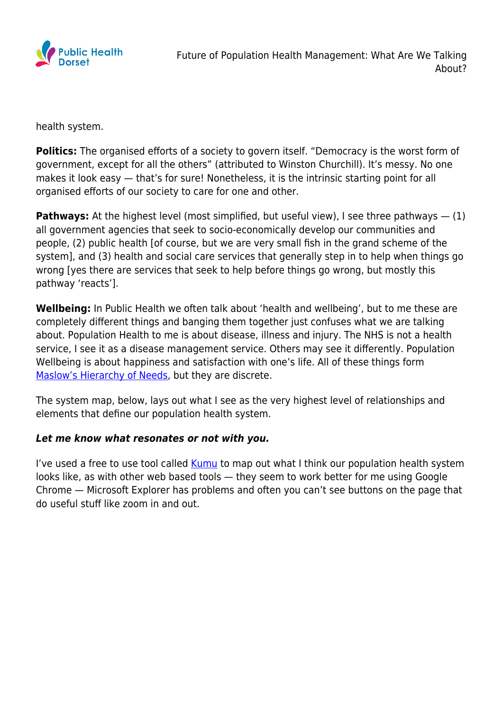

health system.

**Politics:** The organised efforts of a society to govern itself. "Democracy is the worst form of government, except for all the others" (attributed to Winston Churchill). It's messy. No one makes it look easy — that's for sure! Nonetheless, it is the intrinsic starting point for all organised efforts of our society to care for one and other.

**Pathways:** At the highest level (most simplified, but useful view), I see three pathways  $- (1)$ all government agencies that seek to socio-economically develop our communities and people, (2) public health [of course, but we are very small fish in the grand scheme of the system], and (3) health and social care services that generally step in to help when things go wrong [yes there are services that seek to help before things go wrong, but mostly this pathway 'reacts'].

**Wellbeing:** In Public Health we often talk about 'health and wellbeing', but to me these are completely different things and banging them together just confuses what we are talking about. Population Health to me is about disease, illness and injury. The NHS is not a health service, I see it as a disease management service. Others may see it differently. Population Wellbeing is about happiness and satisfaction with one's life. All of these things form [Maslow's Hierarchy of Needs,](https://www.simplypsychology.org/maslow.html) but they are discrete.

The system map, below, lays out what I see as the very highest level of relationships and elements that define our population health system.

## *Let me know what resonates or not with you.*

I've used a free to use tool called [Kumu](https://www.kumu.io) to map out what I think our population health system looks like, as with other web based tools — they seem to work better for me using Google Chrome — Microsoft Explorer has problems and often you can't see buttons on the page that do useful stuff like zoom in and out.